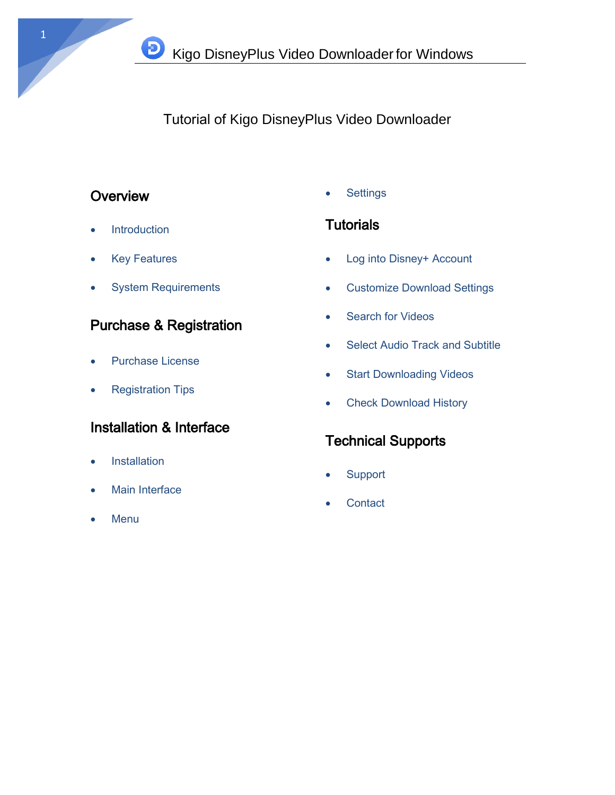# Tutorial of Kigo DisneyPlus Video Downloader

# **Overview**

- Introduction
- Key Features
- System Requirements

 $\bf{D}$ 

# Purchase & Registration

- Purchase License
- Registration Tips

# Installation & Interface

- **•** Installation
- Main Interface
- Menu

**Settings** 

# **Tutorials**

- Log into Disney+ Account
- Customize Download Settings
- Search for Videos
- Select Audio Track and Subtitle
- Start Downloading Videos
- Check Download History

# Technical Supports

- **Support**
- **Contact**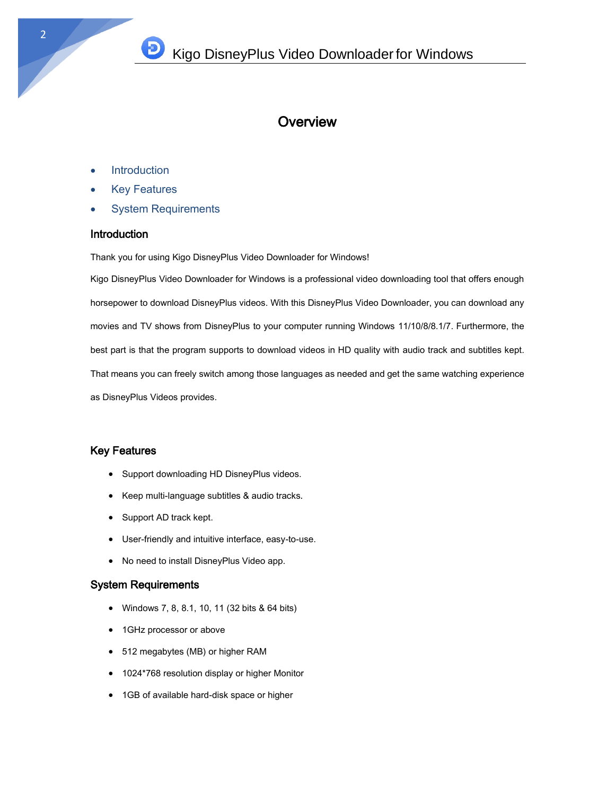## **Overview**

- **Introduction**
- Key Features
- System Requirements

#### **Introduction**

Thank you for using Kigo DisneyPlus Video Downloader for Windows!

Kigo DisneyPlus Video Downloader for Windows is a professional video downloading tool that offers enough horsepower to download DisneyPlus videos. With this DisneyPlus Video Downloader, you can download any movies and TV shows from DisneyPlus to your computer running Windows 11/10/8/8.1/7. Furthermore, the best part is that the program supports to download videos in HD quality with audio track and subtitles kept. That means you can freely switch among those languages as needed and get the same watching experience as DisneyPlus Videos provides.

#### Key Features

- Support downloading HD DisneyPlus videos.
- Keep multi-language subtitles & audio tracks.
- Support AD track kept.
- User-friendly and intuitive interface, easy-to-use.
- No need to install DisneyPlus Video app.

#### System Requirements

- Windows 7, 8, 8.1, 10, 11 (32 bits & 64 bits)
- 1GHz processor or above
- 512 megabytes (MB) or higher RAM
- 1024\*768 resolution display or higher Monitor
- 1GB of available hard-disk space or higher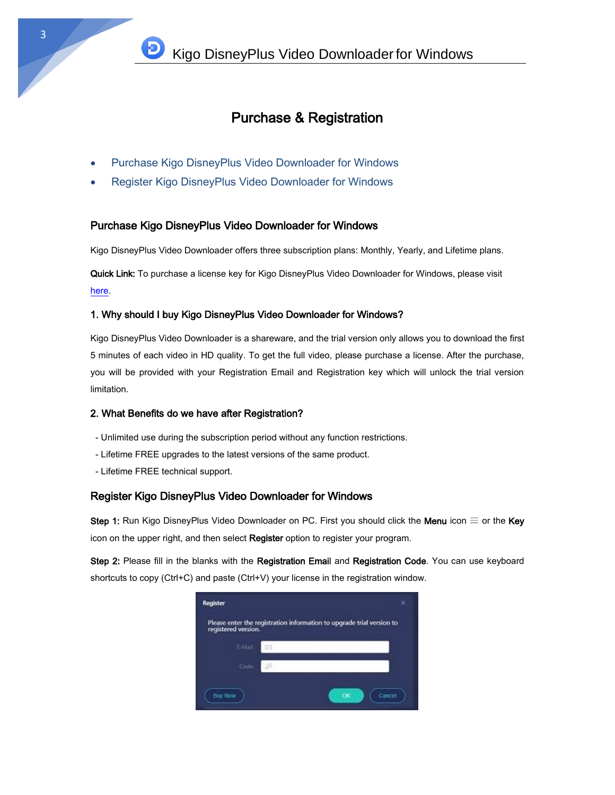## Purchase & Registration

- Purchase Kigo DisneyPlus Video Downloader for Windows
- Register Kigo DisneyPlus Video Downloader for Windows

#### Purchase Kigo DisneyPlus Video Downloader for Windows

Kigo DisneyPlus Video Downloader offers three subscription plans: Monthly, Yearly, and Lifetime plans.

Quick Link: To purchase a license key for Kigo DisneyPlus Video Downloader for Windows, please visit [here.](https://www.kigo-video-converter.com/disneyplus-video-downloader/order.html)

#### 1. Why should I buy Kigo DisneyPlus Video Downloader for Windows?

Kigo DisneyPlus Video Downloader is a shareware, and the trial version only allows you to download the first 5 minutes of each video in HD quality. To get the full video, please purchase a license. After the purchase, you will be provided with your Registration Email and Registration key which will unlock the trial version limitation.

#### 2. What Benefits do we have after Registration?

- Unlimited use during the subscription period without any function restrictions.
- Lifetime FREE upgrades to the latest versions of the same product.
- Lifetime FREE technical support.

#### Register Kigo DisneyPlus Video Downloader for Windows

Step 1: Run Kigo DisneyPlus Video Downloader on PC. First you should click the Menu icon  $\equiv$  or the Key icon on the upper right, and then select Register option to register your program.

Step 2: Please fill in the blanks with the Registration Email and Registration Code. You can use keyboard shortcuts to copy (Ctrl+C) and paste (Ctrl+V) your license in the registration window.

| <b>Register</b>     | ×                                                                     |
|---------------------|-----------------------------------------------------------------------|
| registered version. | Please enter the registration information to upgrade trial version to |
| E-Mail:             | œ                                                                     |
| Code:               | n                                                                     |
| <b>Buy Now</b>      | OK<br>Cancel                                                          |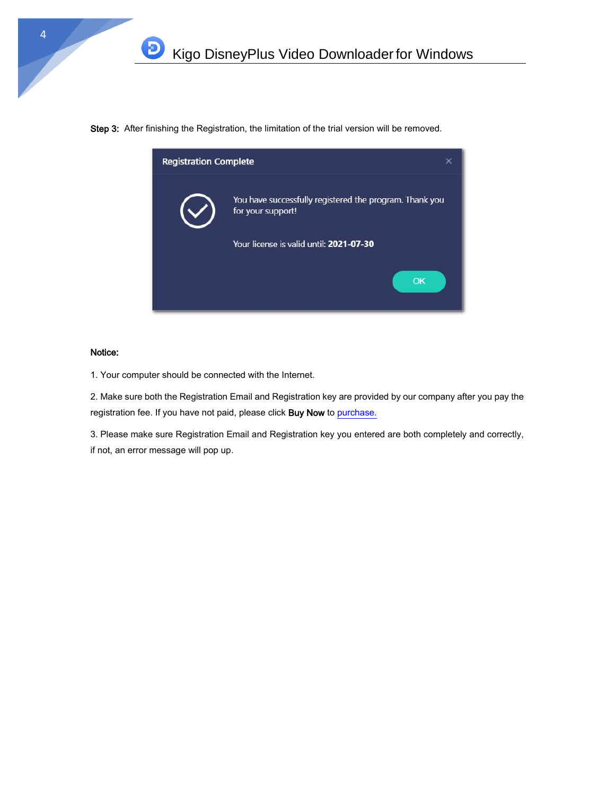Step 3: After finishing the Registration, the limitation of the trial version will be removed.



#### Notice:

 $\mathbf{D}$ 

1. Your computer should be connected with the Internet.

2. Make sure both the Registration Email and Registration key are provided by our company after you pay the registration fee. If you have not paid, please click Buy Now t[o purchase.](https://www.kigo-video-converter.com/disneyplus-video-downloader/order.html)

3. Please make sure Registration Email and Registration key you entered are both completely and correctly, if not, an error message will pop up.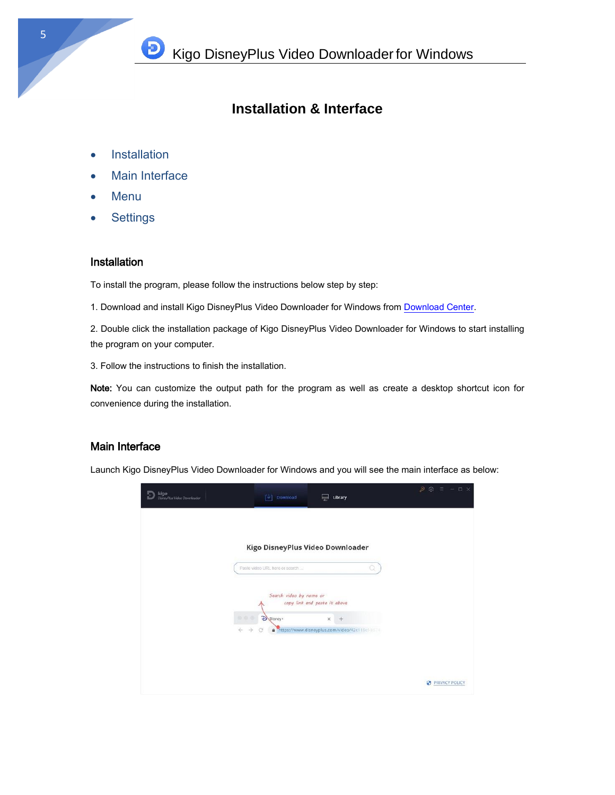# **Installation & Interface**

- **•** Installation
- Main Interface

D)

- Menu
- **•** Settings

### **Installation**

To install the program, please follow the instructions below step by step:

1. Download and install Kigo DisneyPlus Video Downloader for Windows from [Download Center.](https://www.kigo-video-converter.com/downloads.html)

2. Double click the installation package of Kigo DisneyPlus Video Downloader for Windows to start installing the program on your computer.

3. Follow the instructions to finish the installation.

Note: You can customize the output path for the program as well as create a desktop shortcut icon for convenience during the installation.

### Main Interface

Launch Kigo DisneyPlus Video Downloader for Windows and you will see the main interface as below:

| <b>kigo</b><br>DisnyPlus Video Downloader | $\lceil \cdot \rceil$<br>Download                         | Library<br>╘╤╛                                                    |   | $P$ $Q$ $\equiv$ $ \Box$ $X$ |
|-------------------------------------------|-----------------------------------------------------------|-------------------------------------------------------------------|---|------------------------------|
|                                           | Kigo DisneyPlus Video Downloader                          |                                                                   |   |                              |
|                                           | Paste video URL here or search<br>Search video by name or | copy link and paste it above                                      | o |                              |
|                                           | Disney+<br>000<br>$\rightarrow$<br>$\leftarrow$<br>G      | $\times$<br>$+$<br>https://www.disneyplus.com/video/42c119classia |   |                              |
|                                           |                                                           |                                                                   |   | PRIVACY POLICY               |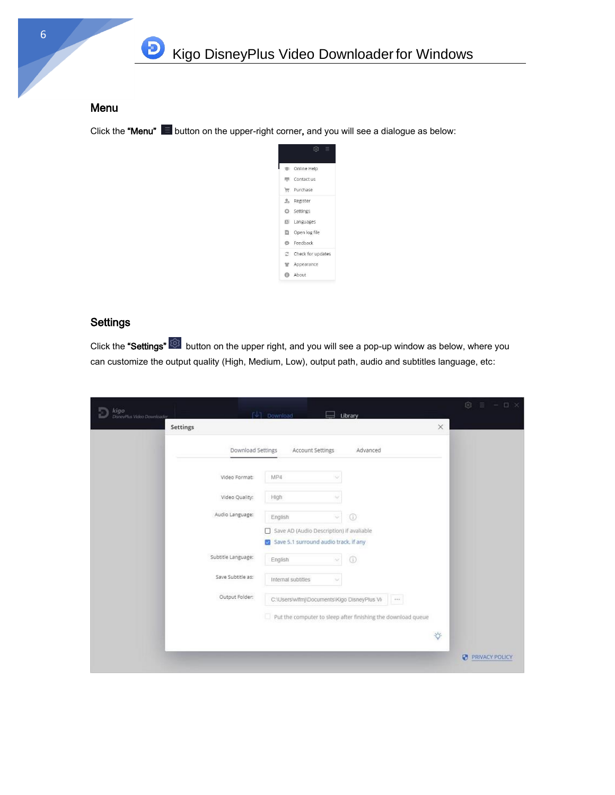

### Menu

Click the "Menu"  $\blacksquare$  button on the upper-right corner, and you will see a dialogue as below:



## **Settings**

Click the "Settings" button on the upper right, and you will see a pop-up window as below, where you can customize the output quality (High, Medium, Low), output path, audio and subtitles language, etc:

| <b>kigo</b><br>DisheyPlus Video Dawnloader | $ \n\Downarrow $ Download<br>Library                                              |                      | 163<br>$ \Box$ $\times$ |
|--------------------------------------------|-----------------------------------------------------------------------------------|----------------------|-------------------------|
| Settings                                   |                                                                                   | $\times$             |                         |
|                                            | Download Settings<br>Account Settings<br>Advanced                                 |                      |                         |
|                                            | MP4<br>Video Format:                                                              |                      |                         |
|                                            | Video Quality:<br>High                                                            |                      |                         |
|                                            | Audio Language:<br>$^{\circ}$<br>English<br>÷                                     |                      |                         |
|                                            | Save AD (Audio Description) if avaliable<br>Save 5.1 surround audio track, if any |                      |                         |
|                                            | Subtitle Language:<br>$^{\circ}$<br>English<br>$\sim$                             |                      |                         |
|                                            | Save Subtitle as:<br>Internal subtities<br>$\sim$                                 |                      |                         |
|                                            | Output Folder:<br>C:\Users\wlfmj\Documents\Kigo DisneyPlus Vi-<br>                |                      |                         |
|                                            | Put the computer to sleep after finishing the download queue                      |                      |                         |
|                                            |                                                                                   | $\ddot{\mathcal{Q}}$ |                         |
|                                            |                                                                                   |                      | G.<br>PRIVACY POLICY    |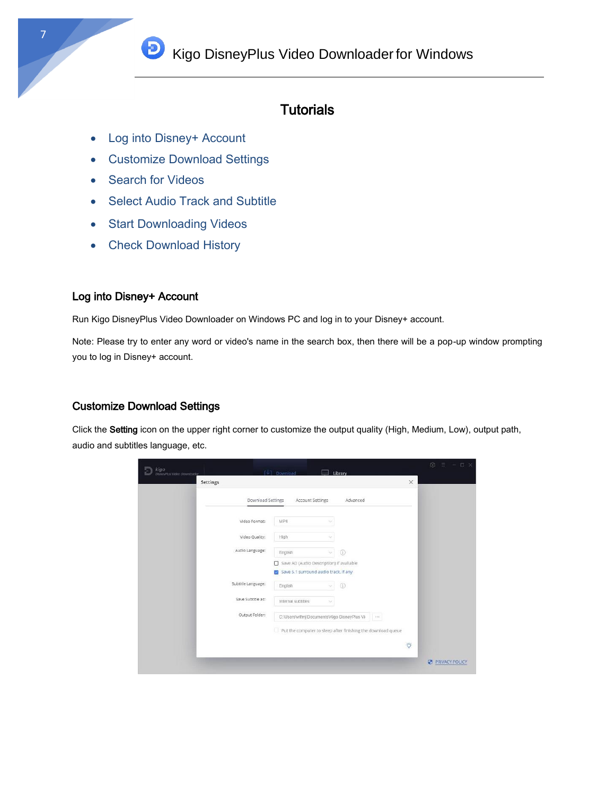**D** Kigo DisneyPlus Video Downloader for Windows

## **Tutorials**

- Log into Disney+ Account
- Customize Download Settings
- Search for Videos
- Select Audio Track and Subtitle
- Start Downloading Videos
- Check Download History

## Log into Disney+ Account

Run Kigo DisneyPlus Video Downloader on Windows PC and log in to your Disney+ account.

Note: Please try to enter any word or video's name in the search box, then there will be a pop-up window prompting you to log in Disney+ account.

## Customize Download Settings

Click the Setting icon on the upper right corner to customize the output quality (High, Medium, Low), output path, audio and subtitles language, etc.

| kigo<br>DisneyPlus Video Downloader |                    | $ \psi $ Download                                                                 |    | Library        |          |          | $\circledcirc$ $\equiv$ $ \Box$ $\times$ |
|-------------------------------------|--------------------|-----------------------------------------------------------------------------------|----|----------------|----------|----------|------------------------------------------|
| Settings                            |                    |                                                                                   |    |                |          | $\times$ |                                          |
|                                     | Download Settings  | Account Settings                                                                  |    | Advanced       |          |          |                                          |
|                                     | Video Format:      | MP4                                                                               |    |                |          |          |                                          |
|                                     | Video Quality:     | High                                                                              |    |                |          |          |                                          |
|                                     | Audio Language:    | English                                                                           | v. | $\circledcirc$ |          |          |                                          |
|                                     |                    | Save AD (Audio Description) if avaliable<br>Save 5.1 surround audio track, if any |    |                |          |          |                                          |
|                                     | Subtitle Language: | English                                                                           | v  | $\odot$        |          |          |                                          |
|                                     | Save Subtitle as:  | Internal subtitles                                                                |    |                |          |          |                                          |
|                                     | Output Folder:     | C:\Users\wlfmj\Documents\Kigo DisneyPlus Vi                                       |    |                | $\cdots$ |          |                                          |
|                                     |                    | Put the computer to sleep after finishing the download queue                      |    |                |          |          |                                          |
|                                     |                    |                                                                                   |    |                |          | Ö.       |                                          |
|                                     |                    |                                                                                   |    |                |          |          | PRIVACY POLICY                           |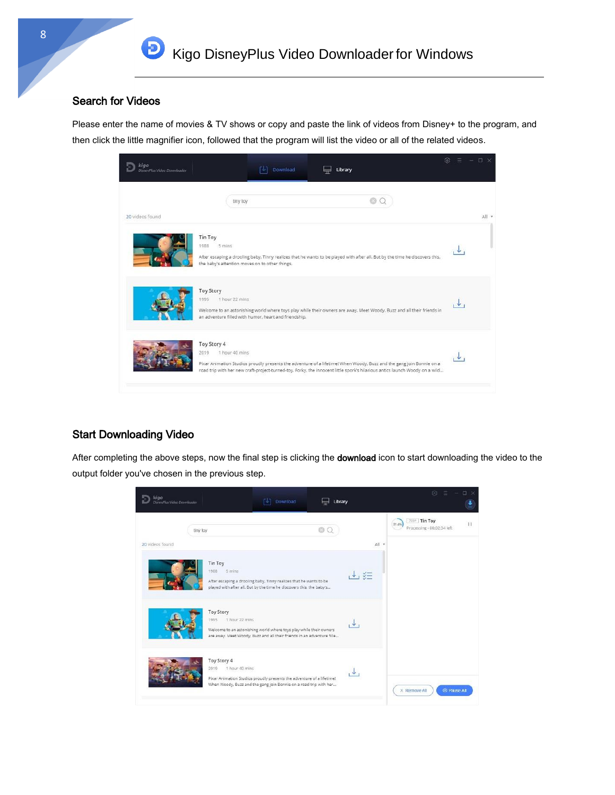### Search for Videos

Đ

Please enter the name of movies & TV shows or copy and paste the link of videos from Disney+ to the program, and then click the little magnifier icon, followed that the program will list the video or all of the related videos.



## Start Downloading Video

After completing the above steps, now the final step is clicking the download icon to start downloading the video to the output folder you've chosen in the previous step.

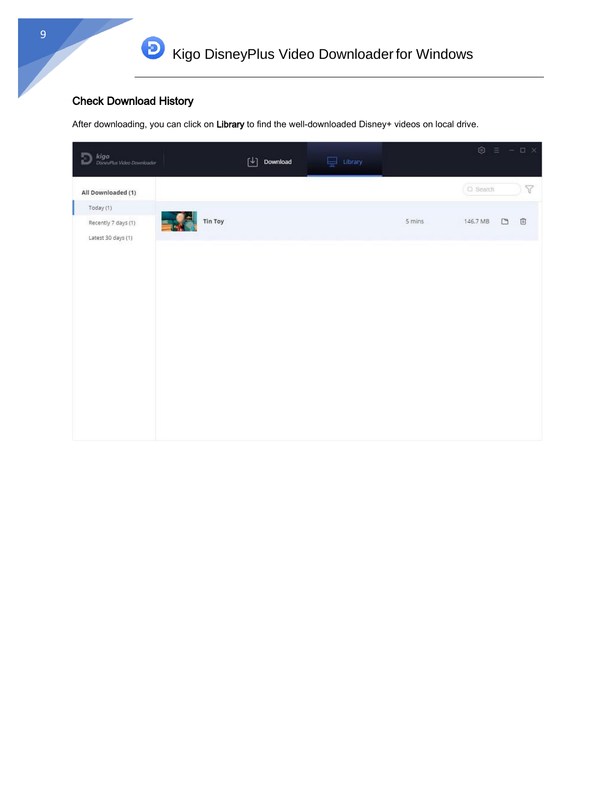## Check Download History

After downloading, you can click on Library to find the well-downloaded Disney+ videos on local drive.